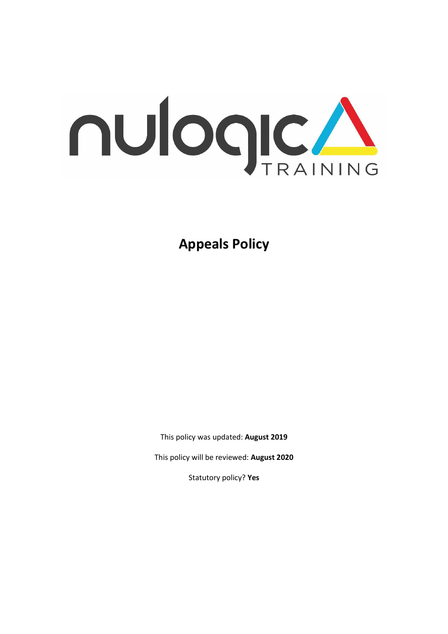

**Appeals Policy** 

This policy was updated: **August 2019**

This policy will be reviewed: **August 2020**

Statutory policy? **Yes**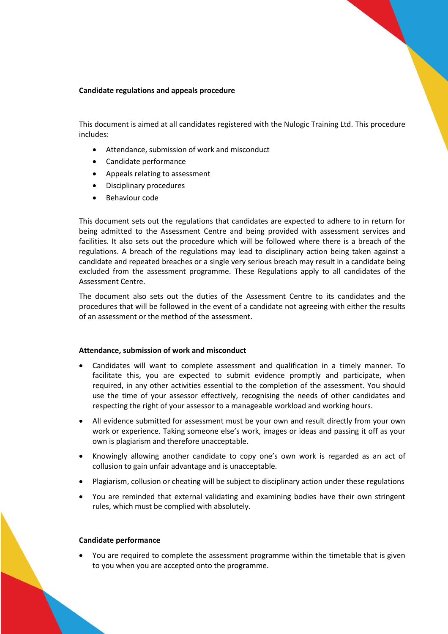# **Candidate regulations and appeals procedure**

This document is aimed at all candidates registered with the Nulogic Training Ltd. This procedure includes:

- Attendance, submission of work and misconduct
- Candidate performance
- Appeals relating to assessment
- Disciplinary procedures
- Behaviour code

This document sets out the regulations that candidates are expected to adhere to in return for being admitted to the Assessment Centre and being provided with assessment services and facilities. It also sets out the procedure which will be followed where there is a breach of the regulations. A breach of the regulations may lead to disciplinary action being taken against a candidate and repeated breaches or a single very serious breach may result in a candidate being excluded from the assessment programme. These Regulations apply to all candidates of the Assessment Centre.

The document also sets out the duties of the Assessment Centre to its candidates and the procedures that will be followed in the event of a candidate not agreeing with either the results of an assessment or the method of the assessment.

## **Attendance, submission of work and misconduct**

- Candidates will want to complete assessment and qualification in a timely manner. To facilitate this, you are expected to submit evidence promptly and participate, when required, in any other activities essential to the completion of the assessment. You should use the time of your assessor effectively, recognising the needs of other candidates and respecting the right of your assessor to a manageable workload and working hours.
- All evidence submitted for assessment must be your own and result directly from your own work or experience. Taking someone else's work, images or ideas and passing it off as your own is plagiarism and therefore unacceptable.
- Knowingly allowing another candidate to copy one's own work is regarded as an act of collusion to gain unfair advantage and is unacceptable.
- Plagiarism, collusion or cheating will be subject to disciplinary action under these regulations
- You are reminded that external validating and examining bodies have their own stringent rules, which must be complied with absolutely.

### **Candidate performance**

• You are required to complete the assessment programme within the timetable that is given to you when you are accepted onto the programme.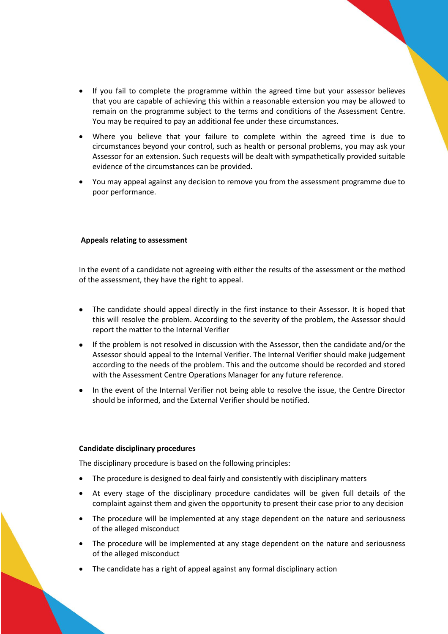- If you fail to complete the programme within the agreed time but your assessor believes that you are capable of achieving this within a reasonable extension you may be allowed to remain on the programme subject to the terms and conditions of the Assessment Centre. You may be required to pay an additional fee under these circumstances.
- Where you believe that your failure to complete within the agreed time is due to circumstances beyond your control, such as health or personal problems, you may ask your Assessor for an extension. Such requests will be dealt with sympathetically provided suitable evidence of the circumstances can be provided.
- You may appeal against any decision to remove you from the assessment programme due to poor performance.

## **Appeals relating to assessment**

In the event of a candidate not agreeing with either the results of the assessment or the method of the assessment, they have the right to appeal.

- The candidate should appeal directly in the first instance to their Assessor. It is hoped that this will resolve the problem. According to the severity of the problem, the Assessor should report the matter to the Internal Verifier
- If the problem is not resolved in discussion with the Assessor, then the candidate and/or the Assessor should appeal to the Internal Verifier. The Internal Verifier should make judgement according to the needs of the problem. This and the outcome should be recorded and stored with the Assessment Centre Operations Manager for any future reference.
- In the event of the Internal Verifier not being able to resolve the issue, the Centre Director should be informed, and the External Verifier should be notified.

### **Candidate disciplinary procedures**

The disciplinary procedure is based on the following principles:

- The procedure is designed to deal fairly and consistently with disciplinary matters
- At every stage of the disciplinary procedure candidates will be given full details of the complaint against them and given the opportunity to present their case prior to any decision
- The procedure will be implemented at any stage dependent on the nature and seriousness of the alleged misconduct
- The procedure will be implemented at any stage dependent on the nature and seriousness of the alleged misconduct
- The candidate has a right of appeal against any formal disciplinary action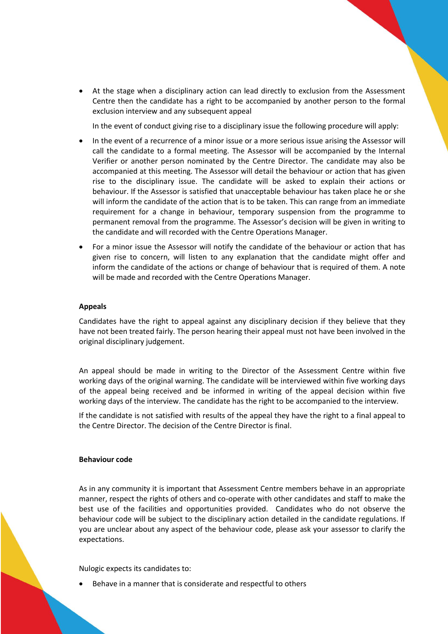• At the stage when a disciplinary action can lead directly to exclusion from the Assessment Centre then the candidate has a right to be accompanied by another person to the formal exclusion interview and any subsequent appeal

In the event of conduct giving rise to a disciplinary issue the following procedure will apply:

- In the event of a recurrence of a minor issue or a more serious issue arising the Assessor will call the candidate to a formal meeting. The Assessor will be accompanied by the Internal Verifier or another person nominated by the Centre Director. The candidate may also be accompanied at this meeting. The Assessor will detail the behaviour or action that has given rise to the disciplinary issue. The candidate will be asked to explain their actions or behaviour. If the Assessor is satisfied that unacceptable behaviour has taken place he or she will inform the candidate of the action that is to be taken. This can range from an immediate requirement for a change in behaviour, temporary suspension from the programme to permanent removal from the programme. The Assessor's decision will be given in writing to the candidate and will recorded with the Centre Operations Manager.
- For a minor issue the Assessor will notify the candidate of the behaviour or action that has given rise to concern, will listen to any explanation that the candidate might offer and inform the candidate of the actions or change of behaviour that is required of them. A note will be made and recorded with the Centre Operations Manager.

## **Appeals**

Candidates have the right to appeal against any disciplinary decision if they believe that they have not been treated fairly. The person hearing their appeal must not have been involved in the original disciplinary judgement.

An appeal should be made in writing to the Director of the Assessment Centre within five working days of the original warning. The candidate will be interviewed within five working days of the appeal being received and be informed in writing of the appeal decision within five working days of the interview. The candidate has the right to be accompanied to the interview.

If the candidate is not satisfied with results of the appeal they have the right to a final appeal to the Centre Director. The decision of the Centre Director is final.

## **Behaviour code**

As in any community it is important that Assessment Centre members behave in an appropriate manner, respect the rights of others and co-operate with other candidates and staff to make the best use of the facilities and opportunities provided. Candidates who do not observe the behaviour code will be subject to the disciplinary action detailed in the candidate regulations. If you are unclear about any aspect of the behaviour code, please ask your assessor to clarify the expectations.

#### Nulogic expects its candidates to:

• Behave in a manner that is considerate and respectful to others